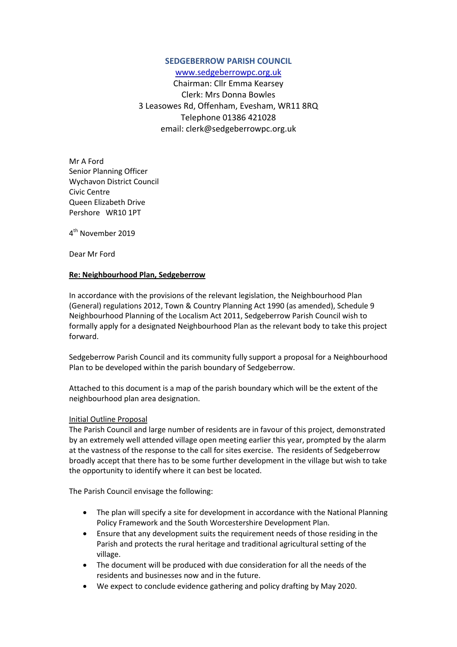## **SEDGEBERROW PARISH COUNCIL**

[www.sedgeberrowpc.org.uk](http://www.sedgeberrowpc.org.uk/)

Chairman: Cllr Emma Kearsey Clerk: Mrs Donna Bowles 3 Leasowes Rd, Offenham, Evesham, WR11 8RQ Telephone 01386 421028 email: clerk@sedgeberrowpc.org.uk

Mr A Ford Senior Planning Officer Wychavon District Council Civic Centre Queen Elizabeth Drive Pershore WR10 1PT

4<sup>th</sup> November 2019

Dear Mr Ford

## **Re: Neighbourhood Plan, Sedgeberrow**

In accordance with the provisions of the relevant legislation, the Neighbourhood Plan (General) regulations 2012, Town & Country Planning Act 1990 (as amended), Schedule 9 Neighbourhood Planning of the Localism Act 2011, Sedgeberrow Parish Council wish to formally apply for a designated Neighbourhood Plan as the relevant body to take this project forward.

Sedgeberrow Parish Council and its community fully support a proposal for a Neighbourhood Plan to be developed within the parish boundary of Sedgeberrow.

Attached to this document is a map of the parish boundary which will be the extent of the neighbourhood plan area designation.

## Initial Outline Proposal

The Parish Council and large number of residents are in favour of this project, demonstrated by an extremely well attended village open meeting earlier this year, prompted by the alarm at the vastness of the response to the call for sites exercise. The residents of Sedgeberrow broadly accept that there has to be some further development in the village but wish to take the opportunity to identify where it can best be located.

The Parish Council envisage the following:

- The plan will specify a site for development in accordance with the National Planning Policy Framework and the South Worcestershire Development Plan.
- Ensure that any development suits the requirement needs of those residing in the Parish and protects the rural heritage and traditional agricultural setting of the village.
- The document will be produced with due consideration for all the needs of the residents and businesses now and in the future.
- We expect to conclude evidence gathering and policy drafting by May 2020.